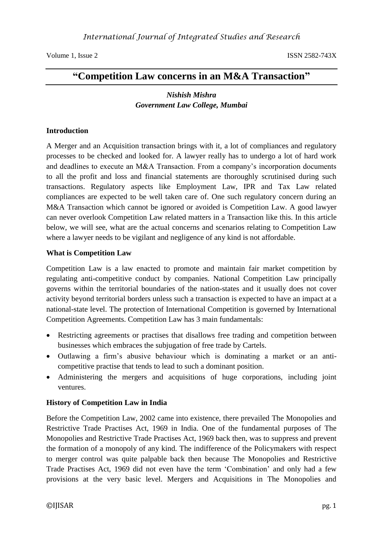# **"Competition Law concerns in an M&A Transaction"**

## *Nishish Mishra Government Law College, Mumbai*

#### **Introduction**

A Merger and an Acquisition transaction brings with it, a lot of compliances and regulatory processes to be checked and looked for. A lawyer really has to undergo a lot of hard work and deadlines to execute an M&A Transaction. From a company's incorporation documents to all the profit and loss and financial statements are thoroughly scrutinised during such transactions. Regulatory aspects like Employment Law, IPR and Tax Law related compliances are expected to be well taken care of. One such regulatory concern during an M&A Transaction which cannot be ignored or avoided is Competition Law. A good lawyer can never overlook Competition Law related matters in a Transaction like this. In this article below, we will see, what are the actual concerns and scenarios relating to Competition Law where a lawyer needs to be vigilant and negligence of any kind is not affordable.

#### **What is Competition Law**

Competition Law is a law enacted to promote and maintain fair market competition by regulating anti-competitive conduct by companies. National Competition Law principally governs within the territorial boundaries of the nation-states and it usually does not cover activity beyond territorial borders unless such a transaction is expected to have an impact at a national-state level. The protection of International Competition is governed by International Competition Agreements. Competition Law has 3 main fundamentals:

- Restricting agreements or practises that disallows free trading and competition between businesses which embraces the subjugation of free trade by Cartels.
- Outlawing a firm's abusive behaviour which is dominating a market or an anticompetitive practise that tends to lead to such a dominant position.
- Administering the mergers and acquisitions of huge corporations, including joint ventures.

### **History of Competition Law in India**

Before the Competition Law, 2002 came into existence, there prevailed The Monopolies and Restrictive Trade Practises Act, 1969 in India. One of the fundamental purposes of The Monopolies and Restrictive Trade Practises Act, 1969 back then, was to suppress and prevent the formation of a monopoly of any kind. The indifference of the Policymakers with respect to merger control was quite palpable back then because The Monopolies and Restrictive Trade Practises Act, 1969 did not even have the term 'Combination' and only had a few provisions at the very basic level. Mergers and Acquisitions in The Monopolies and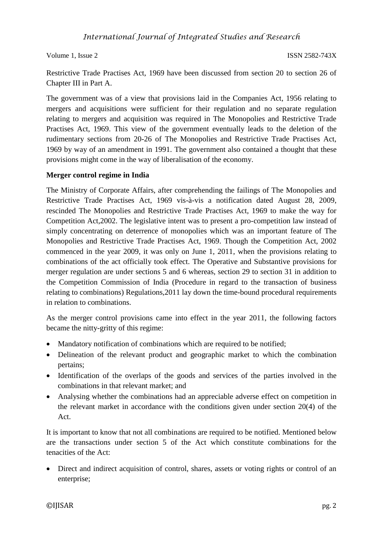Restrictive Trade Practises Act, 1969 have been discussed from section 20 to section 26 of Chapter III in Part A.

The government was of a view that provisions laid in the Companies Act, 1956 relating to mergers and acquisitions were sufficient for their regulation and no separate regulation relating to mergers and acquisition was required in The Monopolies and Restrictive Trade Practises Act, 1969. This view of the government eventually leads to the deletion of the rudimentary sections from 20-26 of The Monopolies and Restrictive Trade Practises Act, 1969 by way of an amendment in 1991. The government also contained a thought that these provisions might come in the way of liberalisation of the economy.

### **Merger control regime in India**

The Ministry of Corporate Affairs, after comprehending the failings of The Monopolies and Restrictive Trade Practises Act, 1969 vis-à-vis a notification dated August 28, 2009, rescinded The Monopolies and Restrictive Trade Practises Act, 1969 to make the way for Competition Act,2002. The legislative intent was to present a pro-competition law instead of simply concentrating on deterrence of monopolies which was an important feature of The Monopolies and Restrictive Trade Practises Act, 1969. Though the Competition Act, 2002 commenced in the year 2009, it was only on June 1, 2011, when the provisions relating to combinations of the act officially took effect. The Operative and Substantive provisions for merger regulation are under sections 5 and 6 whereas, section 29 to section 31 in addition to the Competition Commission of India (Procedure in regard to the transaction of business relating to combinations) Regulations,2011 lay down the time-bound procedural requirements in relation to combinations.

As the merger control provisions came into effect in the year 2011, the following factors became the nitty-gritty of this regime:

- Mandatory notification of combinations which are required to be notified;
- Delineation of the relevant product and geographic market to which the combination pertains;
- Identification of the overlaps of the goods and services of the parties involved in the combinations in that relevant market; and
- Analysing whether the combinations had an appreciable adverse effect on competition in the relevant market in accordance with the conditions given under section 20(4) of the Act.

It is important to know that not all combinations are required to be notified. Mentioned below are the transactions under section 5 of the Act which constitute combinations for the tenacities of the Act:

 Direct and indirect acquisition of control, shares, assets or voting rights or control of an enterprise;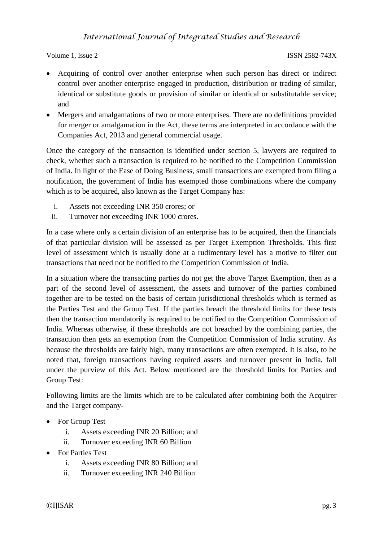- Acquiring of control over another enterprise when such person has direct or indirect control over another enterprise engaged in production, distribution or trading of similar, identical or substitute goods or provision of similar or identical or substitutable service; and
- Mergers and amalgamations of two or more enterprises. There are no definitions provided for merger or amalgamation in the Act, these terms are interpreted in accordance with the Companies Act, 2013 and general commercial usage.

Once the category of the transaction is identified under section 5, lawyers are required to check, whether such a transaction is required to be notified to the Competition Commission of India. In light of the Ease of Doing Business, small transactions are exempted from filing a notification, the government of India has exempted those combinations where the company which is to be acquired, also known as the Target Company has:

- i. Assets not exceeding INR 350 crores; or
- ii. Turnover not exceeding INR 1000 crores.

In a case where only a certain division of an enterprise has to be acquired, then the financials of that particular division will be assessed as per Target Exemption Thresholds. This first level of assessment which is usually done at a rudimentary level has a motive to filter out transactions that need not be notified to the Competition Commission of India.

In a situation where the transacting parties do not get the above Target Exemption, then as a part of the second level of assessment, the assets and turnover of the parties combined together are to be tested on the basis of certain jurisdictional thresholds which is termed as the Parties Test and the Group Test. If the parties breach the threshold limits for these tests then the transaction mandatorily is required to be notified to the Competition Commission of India. Whereas otherwise, if these thresholds are not breached by the combining parties, the transaction then gets an exemption from the Competition Commission of India scrutiny. As because the thresholds are fairly high, many transactions are often exempted. It is also, to be noted that, foreign transactions having required assets and turnover present in India, fall under the purview of this Act. Below mentioned are the threshold limits for Parties and Group Test:

Following limits are the limits which are to be calculated after combining both the Acquirer and the Target company-

- For Group Test
	- i. Assets exceeding INR 20 Billion; and
	- ii. Turnover exceeding INR 60 Billion
- For Parties Test
	- i. Assets exceeding INR 80 Billion; and
	- ii. Turnover exceeding INR 240 Billion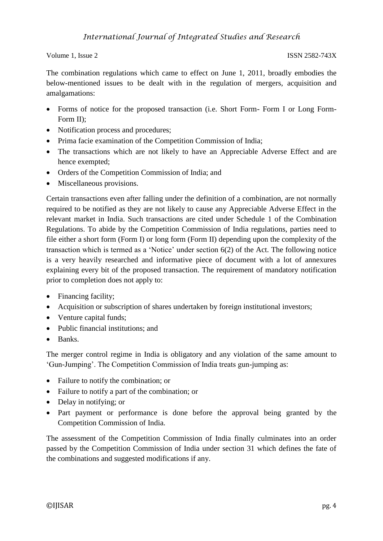The combination regulations which came to effect on June 1, 2011, broadly embodies the below-mentioned issues to be dealt with in the regulation of mergers, acquisition and amalgamations:

- Forms of notice for the proposed transaction (i.e. Short Form- Form I or Long Form-Form II);
- Notification process and procedures;
- Prima facie examination of the Competition Commission of India;
- The transactions which are not likely to have an Appreciable Adverse Effect and are hence exempted;
- Orders of the Competition Commission of India; and
- Miscellaneous provisions.

Certain transactions even after falling under the definition of a combination, are not normally required to be notified as they are not likely to cause any Appreciable Adverse Effect in the relevant market in India. Such transactions are cited under Schedule 1 of the Combination Regulations. To abide by the Competition Commission of India regulations, parties need to file either a short form (Form I) or long form (Form II) depending upon the complexity of the transaction which is termed as a 'Notice' under section 6(2) of the Act. The following notice is a very heavily researched and informative piece of document with a lot of annexures explaining every bit of the proposed transaction. The requirement of mandatory notification prior to completion does not apply to:

- Financing facility;
- Acquisition or subscription of shares undertaken by foreign institutional investors;
- Venture capital funds;
- Public financial institutions: and
- Banks.

The merger control regime in India is obligatory and any violation of the same amount to 'Gun-Jumping'. The Competition Commission of India treats gun-jumping as:

- Failure to notify the combination; or
- Failure to notify a part of the combination; or
- Delay in notifying; or
- Part payment or performance is done before the approval being granted by the Competition Commission of India.

The assessment of the Competition Commission of India finally culminates into an order passed by the Competition Commission of India under section 31 which defines the fate of the combinations and suggested modifications if any.